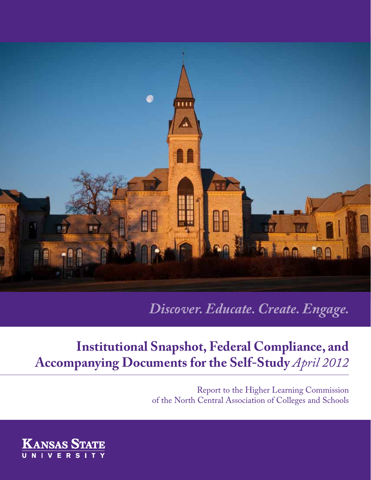

*Discover. Educate. Create. Engage.*

# **Institutional Snapshot, Federal Compliance, and Accompanying Documents for the Self-Study** *April 2012*

Report to the Higher Learning Commission of the North Central Association of Colleges and Schools

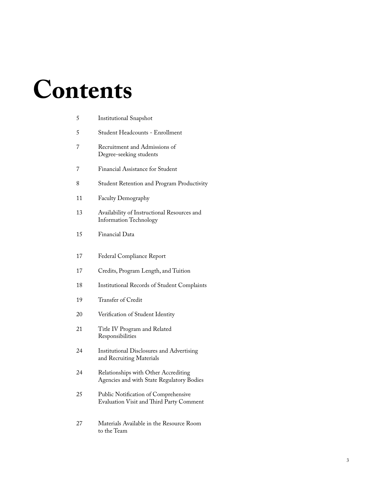# **Contents**

| 5  | <b>Institutional Snapshot</b>                                                     |
|----|-----------------------------------------------------------------------------------|
| 5  | Student Headcounts - Enrollment                                                   |
| 7  | Recruitment and Admissions of<br>Degree-seeking students                          |
| 7  | Financial Assistance for Student                                                  |
| 8  | Student Retention and Program Productivity                                        |
| 11 | Faculty Demography                                                                |
| 13 | Availability of Instructional Resources and<br><b>Information Technology</b>      |
| 15 | Financial Data                                                                    |
| 17 | Federal Compliance Report                                                         |
| 17 | Credits, Program Length, and Tuition                                              |
| 18 | <b>Institutional Records of Student Complaints</b>                                |
| 19 | Transfer of Credit                                                                |
| 20 | Verification of Student Identity                                                  |
| 21 | Title IV Program and Related<br>Responsibilities                                  |
| 24 | <b>Institutional Disclosures and Advertising</b><br>and Recruiting Materials      |
| 24 | Relationships with Other Accrediting<br>Agencies and with State Regulatory Bodies |
| 25 | Public Notification of Comprehensive<br>Evaluation Visit and Third Party Comment  |
| 27 | Materials Available in the Resource Room                                          |

to the Team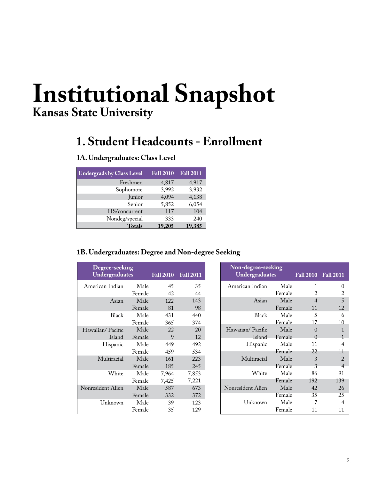# <span id="page-4-0"></span>**Institutional Snapshot Kansas State University**

# **1. Student Headcounts - Enrollment**

### **1A. Undergraduates: Class Level**

| <b>Undergrads by Class Level</b> | <b>Fall 2010</b> | <b>Fall 2011</b> |
|----------------------------------|------------------|------------------|
| Freshmen                         | 4,817            | 4,917            |
| Sophomore                        | 3,992            | 3,932            |
| Junior                           | 4,094            | 4,138            |
| Senior                           | 5,852            | 6,054            |
| HS/concurrent                    | 117              | 104              |
| Nondeg/special                   | 333              | 240              |
| <b>Totals</b>                    | 19.205           | 19,385           |

### **1B. Undergraduates: Degree and Non-degree Seeking**

| Degree-seeking<br>Undergraduates | <b>Fall 2010</b> | <b>Fall 2011</b> |       |
|----------------------------------|------------------|------------------|-------|
| American Indian                  | Male             | 45               | 35    |
|                                  | Female           | 42               | 44    |
| Asian                            | Male             | 122              | 143   |
|                                  | Female           | 81               | 98    |
| <b>Black</b>                     | Male             | 431              | 440   |
|                                  | Female           | 365              | 374   |
| Hawaiian/Pacific                 | Male             | 22               | 20    |
| Island                           | Female           | 9                | 12    |
| Hispanic                         | Male             | 449              | 492   |
|                                  | Female           | 459              | 534   |
| Multiracial                      | Male             | 161              | 223   |
|                                  | Female           | 185              | 245   |
| White                            | Male             | 7,964            | 7,853 |
|                                  | Female           | 7,425            | 7,221 |
| Nonresident Alien                | Male             | 587              | 673   |
|                                  | Female           | 332              | 372   |
| Unknown                          | Male             | 39               | 123   |
|                                  | Female           | 35               | 129   |

| Non-degree-seeking<br><b>Undergraduates</b> |        | Fall 2010 Fall 2011 |                |
|---------------------------------------------|--------|---------------------|----------------|
| American Indian                             | Male   | 1                   | 0              |
|                                             | Female | 2                   | 2              |
| Asian                                       | Male   | $\overline{4}$      | 5              |
|                                             | Female | 11                  | 12             |
| <b>Black</b>                                | Male   | 5                   | 6              |
|                                             | Female | 17                  | 10             |
| Hawaiian/Pacific                            | Male   | 0                   | 1              |
| Island                                      | Female | $\Omega$            | $\mathbf{1}$   |
| Hispanic                                    | Male   | 11                  | 4              |
|                                             | Female | 22                  | 11             |
| Multiracial                                 | Male   | 3                   | 2              |
|                                             | Female | 3                   | $\overline{4}$ |
| White                                       | Male   | 86                  | 91             |
|                                             | Female | 192                 | 139            |
| Nonresident Alien                           | Male   | 42                  | 26             |
|                                             | Female | 35                  | 25             |
| Unknown                                     | Male   | 7                   | 4              |
|                                             | Female | 11                  | 11             |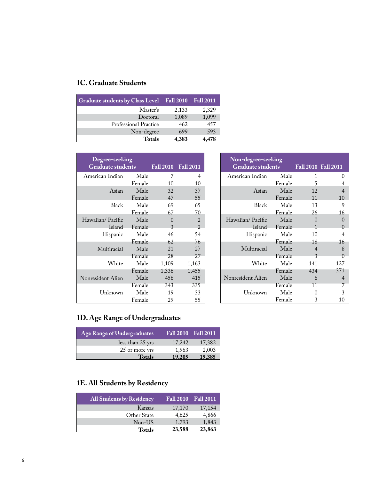## **1C. Graduate Students**

| Graduate students by Class Level Fall 2010 |       | <b>Fall 2011</b> |
|--------------------------------------------|-------|------------------|
| Master's                                   | 2,133 | 2,329            |
| Doctoral                                   | 1,089 | 1,099            |
| Professional Practice                      | 462   | 457              |
| Non-degree                                 | 699   | 593              |
| <b>Totals</b>                              | 4,383 |                  |

| Degree-seeking<br><b>Graduate students</b> |        | Fall 2010 Fall 2011 |                |
|--------------------------------------------|--------|---------------------|----------------|
| American Indian                            | Male   | 7                   | $\overline{4}$ |
|                                            | Female | 10                  | 10             |
| Asian                                      | Male   | 32                  | 37             |
|                                            | Female | 47                  | 55             |
| <b>Black</b>                               | Male   | 69                  | 65             |
|                                            | Female | 67                  | 70             |
| Hawaiian/Pacific                           | Male   | $\mathcal{L}$       | 2              |
| Island                                     | Female | 3                   | $\mathfrak{D}$ |
| Hispanic                                   | Male   | 46                  | 54             |
|                                            | Female | 62                  | 76             |
| Multiracial                                | Male   | 21                  | 27             |
|                                            | Female | 28                  | 27             |
| White                                      | Male   | 1,109               | 1,163          |
|                                            | Female | 1,336               | 1,455          |
| Nonresident Alien                          | Male   | 456                 | 415            |
|                                            | Female | 343                 | 335            |
| Unknown                                    | Male   | 19                  | 33             |
|                                            | Female | 29                  | 55             |

| Non-degree-seeking<br><b>Graduate students</b> |        |                   | Fall 2010 Fall 2011 |
|------------------------------------------------|--------|-------------------|---------------------|
| American Indian                                | Male   | 1                 | 0                   |
|                                                | Female | 5                 | 4                   |
| Asian                                          | Male   | 12                | 4                   |
|                                                | Female | 11                | 10                  |
| <b>Black</b>                                   | Male   | 13                | 9                   |
|                                                | Female | 26                | 16                  |
| Hawaiian/Pacific                               | Male   | $\mathbf{\Omega}$ | $\Omega$            |
| Island –                                       | Female | 1                 | $\Omega$            |
| Hispanic                                       | Male   | 10                | 4                   |
|                                                | Female | 18                | 16                  |
| Multiracial                                    | Male   | $\overline{4}$    | 8                   |
|                                                | Female | 3                 | O                   |
| White                                          | Male   | 141               | 127                 |
|                                                | Female | 434               | 371                 |
| Nonresident Alien                              | Male   | 6                 | $\overline{4}$      |
|                                                | Female | 11                | 7                   |
| Unknown                                        | Male   | 0                 | 3                   |
|                                                | Female | 3                 | 10                  |

# **1D. Age Range of Undergraduates**

| Age Range of Undergraduates |        | <b>Fall 2010</b> Fall 2011 |
|-----------------------------|--------|----------------------------|
| less than 25 yrs            | 17,242 | 17,382                     |
| 25 or more yrs              | 1,963  | 2,003                      |
| <b>Totals</b>               | 19,205 | 19,385                     |

# **1E. All Students by Residency**

| <b>All Students by Residency</b> | <b>Fall 2010</b> | <b>Fall 2011</b> |
|----------------------------------|------------------|------------------|
| Kansas                           | 17,170           | 17,154           |
| Other State                      | 4,625            | 4,866            |
| Non-US                           | 1,793            | 1,843            |
| Totals                           | 23,588           | 23,863           |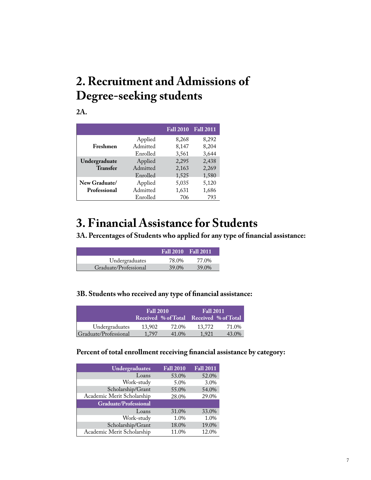# <span id="page-6-0"></span>**2. Recruitment and Admissions of Degree-seeking students**

**2A.**

|                 |          | <b>Fall 2010</b> | <b>Fall 2011</b> |
|-----------------|----------|------------------|------------------|
|                 | Applied  | 8,268            | 8,292            |
| Freshmen        | Admitted | 8,147            | 8,204            |
|                 | Enrolled | 3,561            | 3,644            |
| Undergraduate   | Applied  | 2,295            | 2,438            |
| <b>Transfer</b> | Admitted | 2,163            | 2,269            |
|                 | Enrolled | 1,525            | 1,580            |
| New Graduate/   | Applied  | 5,035            | 5,120            |
| Professional    | Admitted | 1,631            | 1,686            |
|                 | Enrolled | 706              | 793              |

# **3. Financial Assistance for Students**

**3A. Percentages of Students who applied for any type of financial assistance:**

|                       | Fall 2010 Fall 2011 |       |
|-----------------------|---------------------|-------|
| Undergraduates        | 78.0%               | 77.0% |
| Graduate/Professional | 39.0%               | 39.0% |

### **3B. Students who received any type of financial assistance:**

|                       | <b>Fall 2010</b>                        |       | <b>Fall 2011</b> |       |
|-----------------------|-----------------------------------------|-------|------------------|-------|
|                       | Received % of Total Received % of Total |       |                  |       |
| Undergraduates        | 13.902                                  | 72.0% | 13,772           | 71.0% |
| Graduate/Professional | 1.797                                   | 41.0% | 1.921            | 43.0% |

### **Percent of total enrollment receiving financial assistance by category:**

| <b>Undergraduates</b>        | <b>Fall 2010</b> | <b>Fall 2011</b> |
|------------------------------|------------------|------------------|
| Loans                        | 53.0%            | 52.0%            |
| Work-study                   | 5.0%             | 3.0%             |
| Scholarship/Grant            | 55.0%            | 54.0%            |
| Academic Merit Scholarship   | 28.0%            | 29.0%            |
| <b>Graduate/Professional</b> |                  |                  |
| Loans                        | 31.0%            | 33.0%            |
| Work-study                   | 1.0%             | 1.0%             |
| Scholarship/Grant            | 18.0%            | 19.0%            |
| Academic Merit Scholarship   | 11.0%            | 12.0%            |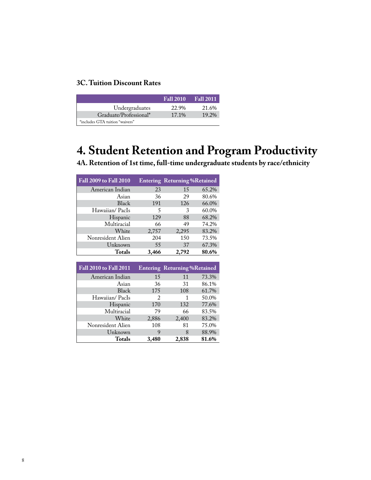### <span id="page-7-0"></span>**3C. Tuition Discount Rates**

|                                 | <b>Fall 2010</b> | <b>Fall 2011</b> |
|---------------------------------|------------------|------------------|
| Undergraduates                  | 22.9%            | 21.6%            |
| Graduate/Professional*          | 17.1%            | 19.2%            |
| *includes GTA tuition "waivers" |                  |                  |

# **4. Student Retention and Program Productivity**

**4A. Retention of 1st time, full-time undergraduate students by race/ethnicity**

| Fall 2009 to Fall 2010 |       | <b>Entering Returning%Retained</b> |       |
|------------------------|-------|------------------------------------|-------|
| American Indian        | 23    | 15                                 | 65.2% |
| Asian                  | 36    | 29                                 | 80.6% |
| <b>Black</b>           | 191   | 126                                | 66.0% |
| Hawaiian/PacIs         | 5     | 3                                  | 60.0% |
| Hispanic               | 129   | 88                                 | 68.2% |
| Multiracial            | 66    | 49                                 | 74.2% |
| White                  | 2,757 | 2,295                              | 83.2% |
| Nonresident Alien      | 204   | 150                                | 73.5% |
| Unknown                | 55    | 37                                 | 67.3% |
| <b>Totals</b>          | 3,466 | 2,792                              | 80.6% |

| <b>Fall 2010 to Fall 2011</b> |       | <b>Entering Returning %Retained</b> |       |
|-------------------------------|-------|-------------------------------------|-------|
| American Indian               | 15    | 11                                  | 73.3% |
| Asian                         | 36    | 31                                  | 86.1% |
| Black                         | 175   | 108                                 | 61.7% |
| Hawaiian/PacIs                | 2     | 1                                   | 50.0% |
| Hispanic                      | 170   | 132                                 | 77.6% |
| Multiracial                   | 79    | 66                                  | 83.5% |
| White                         | 2,886 | 2,400                               | 83.2% |
| Nonresident Alien             | 108   | 81                                  | 75.0% |
| Unknown                       | 9     | 8                                   | 88.9% |
| Totals                        | 3,480 | 2,838                               | 81.6% |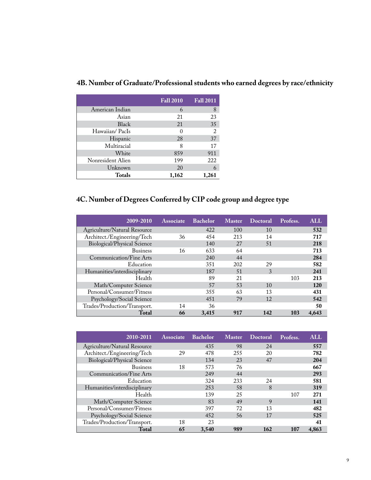|                   | <b>Fall 2010</b> | <b>Fall 2011</b> |
|-------------------|------------------|------------------|
| American Indian   | 6                | 8                |
| Asian             | 21               | 23               |
| Black             | 21               | 35               |
| Hawaiian/PacIs    | 0                | $\overline{2}$   |
| Hispanic          | 28               | 37               |
| Multiracial       | 8                | 17               |
| White             | 859              | 911              |
| Nonresident Alien | 199              | 222              |
| Unknown           | 20               | 6                |
| <b>Totals</b>     | 1,162            | 1,261            |

### **4B. Number of Graduate/Professional students who earned degrees by race/ethnicity**

### **4C. Number of Degrees Conferred by CIP code group and degree type**

| 2009-2010                    | <b>Associate</b> | <b>Bachelor</b> | <b>Master</b> | <b>Doctoral</b> | Profess. | ALL        |
|------------------------------|------------------|-----------------|---------------|-----------------|----------|------------|
| Agriculture/Natural Resource |                  | 422             | 100           | 10              |          | 532        |
| Architect./Engineering/Tech  | 36               | 454             | 213           | 14              |          | 717        |
| Biological/Physical Science  |                  | 140             | 27            | 51              |          | 218        |
| <b>Business</b>              | 16               | 633             | 64            |                 |          | 713        |
| Communication/Fine Arts      |                  | 240             | 44            |                 |          | 284        |
| Education                    |                  | 351             | 202           | 29              |          | 582        |
| Humanities/interdisciplinary |                  | 187             | 51            | 3               |          | 241        |
| Health                       |                  | 89              | 21            |                 | 103      | 213        |
| Math/Computer Science        |                  | 57              | 53            | 10              |          | <b>120</b> |
| Personal/Consumer/Fitness    |                  | 355             | 63            | 13              |          | 431        |
| Psychology/Social Science    |                  | 451             | 79            | 12              |          | 542        |
| Trades/Production/Transport. | 14               | 36              |               |                 |          | 50         |
| Total                        | 66               | 3,415           | 917           | 142             | 103      | 4.643      |

| 2010-2011                          | <b>Associate</b> | <b>Bachelor</b> | <b>Master</b> | Doctoral | Profess. | ALL   |
|------------------------------------|------------------|-----------------|---------------|----------|----------|-------|
| Agriculture/Natural Resource       |                  | 435             | 98            | 24       |          | 557   |
| Architect./Engineering/Tech        | 29               | 478             | 255           | 20       |          | 782   |
| <b>Biological/Physical Science</b> |                  | 134             | 23            | 47       |          | 204   |
| <b>Business</b>                    | 18               | 573             | 76            |          |          | 667   |
| Communication/Fine Arts            |                  | 249             | 44            |          |          | 293   |
| Education                          |                  | 324             | 233           | 24       |          | 581   |
| Humanities/interdisciplinary       |                  | 253             | 58            | 8        |          | 319   |
| Health                             |                  | 139             | 25            |          | 107      | 271   |
| Math/Computer Science              |                  | 83              | 49            | 9        |          | 141   |
| Personal/Consumer/Fitness          |                  | 397             | 72            | 13       |          | 482   |
| Psychology/Social Science          |                  | 452             | 56            | 17       |          | 525   |
| Trades/Production/Transport.       | 18               | 23              |               |          |          | 41    |
| Total                              | 65               | 3.540           | 989           | 162      | 107      | 4.863 |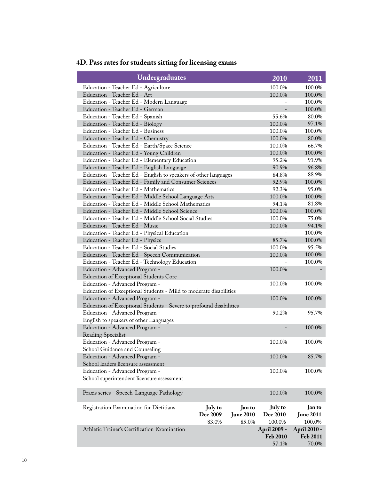| Undergraduates                                                                                        |                |                  | 2010         | 2011             |
|-------------------------------------------------------------------------------------------------------|----------------|------------------|--------------|------------------|
| Education - Teacher Ed - Agriculture                                                                  |                |                  | 100.0%       | 100.0%           |
| Education - Teacher Ed - Art                                                                          |                |                  | 100.0%       | 100.0%           |
| Education - Teacher Ed - Modern Language                                                              |                |                  |              | 100.0%           |
| Education - Teacher Ed - German                                                                       |                |                  |              | 100.0%           |
| Education - Teacher Ed - Spanish                                                                      |                |                  | 55.6%        | 80.0%            |
| Education - Teacher Ed - Biology                                                                      |                |                  | 100.0%       | 97.1%            |
| Education - Teacher Ed - Business                                                                     |                |                  | 100.0%       | 100.0%           |
| Education - Teacher Ed - Chemistry                                                                    |                |                  | 100.0%       | 80.0%            |
| Education - Teacher Ed - Earth/Space Science                                                          |                |                  | 100.0%       | 66.7%            |
| Education - Teacher Ed - Young Children                                                               |                |                  | 100.0%       | 100.0%           |
| Education - Teacher Ed - Elementary Education                                                         |                |                  | 95.2%        | 91.9%            |
| Education - Teacher Ed - English Language                                                             |                |                  | 90.9%        | 96.8%            |
| Education - Teacher Ed - English to speakers of other languages                                       |                |                  | 84.8%        | 88.9%            |
| Education - Teacher Ed - Family and Consumer Sciences                                                 |                |                  | 92.9%        | 100.0%           |
| Education - Teacher Ed - Mathematics                                                                  |                |                  | 92.3%        | 95.0%            |
| Education - Teacher Ed - Middle School Language Arts                                                  |                |                  | 100.0%       | 100.0%           |
| Education - Teacher Ed - Middle School Mathematics                                                    |                |                  | 94.1%        | 81.8%            |
| Education - Teacher Ed - Middle School Science                                                        |                |                  | 100.0%       | 100.0%           |
| Education - Teacher Ed - Middle School Social Studies                                                 |                |                  | 100.0%       | 75.0%            |
| Education - Teacher Ed - Music                                                                        |                |                  | 100.0%       | 94.1%            |
| Education - Teacher Ed - Physical Education                                                           |                |                  |              | 100.0%           |
| Education - Teacher Ed - Physics                                                                      |                |                  | 85.7%        | 100.0%           |
| Education - Teacher Ed - Social Studies                                                               |                |                  | 100.0%       | 95.5%            |
| Education - Teacher Ed - Speech Communication                                                         |                |                  | 100.0%       | 100.0%           |
| Education - Teacher Ed - Technology Education                                                         |                |                  |              | 100.0%           |
| Education - Advanced Program -                                                                        |                |                  | 100.0%       |                  |
| Education of Exceptional Students Core                                                                |                |                  |              |                  |
| Education - Advanced Program -                                                                        |                |                  | 100.0%       | 100.0%           |
| Education of Exceptional Students - Mild to moderate disabilities                                     | 100.0%         | 100.0%           |              |                  |
| Education - Advanced Program -<br>Education of Exceptional Students - Severe to profound disabilities |                |                  |              |                  |
| Education - Advanced Program -                                                                        |                |                  | 90.2%        | 95.7%            |
| English to speakers of other Languages                                                                |                |                  |              |                  |
| Education - Advanced Program -                                                                        |                |                  |              | 100.0%           |
| <b>Reading Specialist</b>                                                                             |                |                  |              |                  |
| Education - Advanced Program -                                                                        |                |                  | 100.0%       | 100.0%           |
| School Guidance and Counseling                                                                        |                |                  |              |                  |
| Education - Advanced Program -                                                                        |                |                  | 100.0%       | 85.7%            |
| School leaders licensure assessment                                                                   |                |                  |              |                  |
| Education - Advanced Program -                                                                        |                |                  | 100.0%       | 100.0%           |
| School superintendent licensure assessment                                                            |                |                  |              |                  |
|                                                                                                       |                |                  |              |                  |
| Praxis series - Speech-Language Pathology                                                             |                |                  | 100.0%       | 100.0%           |
| Registration Examination for Dietitians                                                               | <b>July to</b> | Jan to           | July to      | Jan to           |
|                                                                                                       | Dec 2009       | <b>June 2010</b> | Dec 2010     | <b>June 2011</b> |
|                                                                                                       | 83.0%          | 85.0%            | 100.0%       | 100.0%           |
| Athletic Trainer's Certification Examination                                                          |                |                  | April 2009 - | April 2010 -     |
|                                                                                                       |                |                  | Feb 2010     | Feb 2011         |
|                                                                                                       |                |                  | 57.1%        | 70.0%            |

# **4D. Pass rates for students sitting for licensing exams**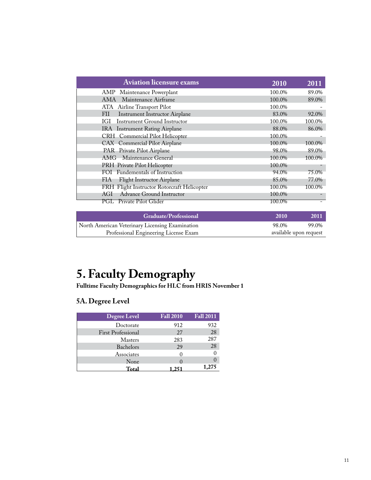<span id="page-10-0"></span>

| <b>Aviation licensure exams</b>              | 2010   | 2011   |
|----------------------------------------------|--------|--------|
| AMP Maintenance Powerplant                   | 100.0% | 89.0%  |
| Maintenance Airframe<br>AMA                  | 100.0% | 89.0%  |
| ATA Airline Transport Pilot                  | 100.0% |        |
| <b>Instrument Instructor Airplane</b><br>FII | 83.0%  | 92.0%  |
| Instrument Ground Instructor<br>IGI          | 100.0% | 100.0% |
| IRA Instrument Rating Airplane               | 88.0%  | 86.0%  |
| CRH Commercial Pilot Helicopter              | 100.0% |        |
| CAX Commercial Pilot Airplane                | 100.0% | 100.0% |
| PAR Private Pilot Airplane                   | 98.0%  | 89.0%  |
| AMG Maintenance General                      | 100.0% | 100.0% |
| PRH Private Pilot Helicopter                 | 100.0% |        |
| FOI Fundementals of Instruction              | 94.0%  | 75.0%  |
| Flight Instructor Airplane<br><b>FIA</b>     | 85.0%  | 77.0%  |
| FRH Flight Instructor Rotorcraft Helicopter  | 100.0% | 100.0% |
| Advance Ground Instructor<br>AGI             | 100.0% |        |
| <b>PGL</b> Private Pilot Glider              | 100.0% |        |
| <b>Graduate/Professional</b>                 | 2010   | 2011   |

# **5. Faculty Demography**

North American Veterinary Licensing Examination

Professional Engineering License Exam

**Fulltime Faculty Demographics for HLC from HRIS November 1**

### **5A. Degree Level**

| <b>Degree Level</b>       | <b>Fall 2010</b>  | <b>Fall 2011</b> |
|---------------------------|-------------------|------------------|
| Doctorate                 | 912               | 932              |
| <b>First Professional</b> | 27                | 28               |
| <b>Masters</b>            | 283               | 287              |
| Bachelors                 | 29                | 28               |
| Associates                | $\mathbf{\Omega}$ |                  |
| None                      |                   |                  |
| Total                     |                   | 1,275            |

98.0% 99.0%<br>available upon request

99.0%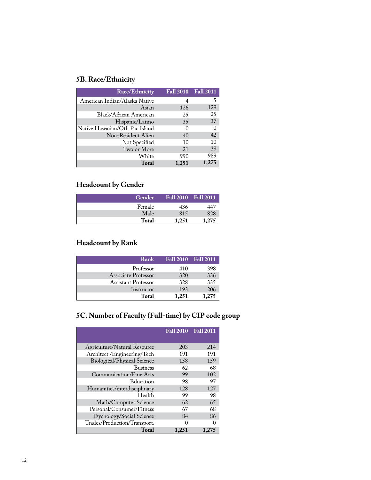### **5B. Race/Ethnicity**

| <b>Race/Ethnicity</b>          |          | Fall 2010 Fall 2011 |
|--------------------------------|----------|---------------------|
| American Indian/Alaska Native  |          |                     |
| Asian                          | 126      | 129                 |
| Black/African American         | 25       | 25                  |
| Hispanic/Latino                | 35       | 37                  |
| Native Hawaiian/Oth Pac Island | $\theta$ | $\Omega$            |
| Non-Resident Alien             | 40       | 42                  |
| Not Specified                  | 10       | 10                  |
| Two or More                    | 21       | 38                  |
| White                          | 990      | 989                 |
| <b>Total</b>                   | 1,251    | 1,275               |

### **Headcount by Gender**

| Gender |       | <b>Fall 2010 Fall 2011</b> |
|--------|-------|----------------------------|
| Female | 436   | 447                        |
| Male   | 815   | 828                        |
| Total  | 1.251 | 1.275                      |

### **Headcount by Rank**

| Rank                |       | Fall 2010 Fall 2011 |
|---------------------|-------|---------------------|
| Professor           | 410   | 398                 |
| Associate Professor | 320   | 336                 |
| Assistant Professor | 328   | 335                 |
| Instructor          | 193   | 206                 |
| Total               | 1,251 | 1.275               |

### **5C. Number of Faculty (Full-time) by CIP code group**

|                                    | <b>Fall 2010</b> | <b>Fall 2011</b> |
|------------------------------------|------------------|------------------|
| Agriculture/Natural Resource       | 203              | 214              |
| Architect./Engineering/Tech        | 191              | 191              |
| <b>Biological/Physical Science</b> | 158              | 159              |
| <b>Business</b>                    | 62               | 68               |
| Communication/Fine Arts            | 99               | 102              |
| Education                          | 98               | 97               |
| Humanities/interdisciplinary       | 128              | 127              |
| Health                             | 99               | 98               |
| Math/Computer Science              | 62               | 65               |
| Personal/Consumer/Fitness          | 67               | 68               |
| Psychology/Social Science          | 84               | 86               |
| Trades/Production/Transport.       |                  | 0                |
| <b>Total</b>                       | 1,251            | 1,275            |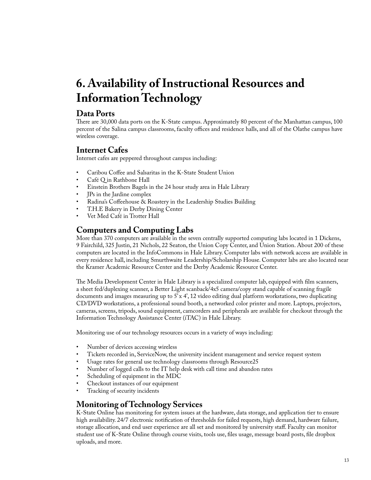# <span id="page-12-0"></span>**6. Availability of Instructional Resources and Information Technology**

### **Data Ports**

There are 30,000 data ports on the K-State campus. Approximately 80 percent of the Manhattan campus, 100 percent of the Salina campus classrooms, faculty offices and residence halls, and all of the Olathe campus have wireless coverage.

### **Internet Cafes**

Internet cafes are peppered throughout campus including:

- Caribou Coffee and Salsaritas in the K-State Student Union
- Café Q in Rathbone Hall
- Einstein Brothers Bagels in the 24 hour study area in Hale Library
- **IPs in the Jardine complex**
- Radina's Coffeehouse & Roastery in the Leadership Studies Building
- T.H.E Bakery in Derby Dining Center
- Vet Med Café in Trotter Hall

### **Computers and Computing Labs**

More than 370 computers are available in the seven centrally supported computing labs located in 1 Dickens, 9 Fairchild, 325 Justin, 21 Nichols, 22 Seaton, the Union Copy Center, and Union Station. About 200 of these computers are located in the InfoCommons in Hale Library. Computer labs with network access are available in every residence hall, including Smurthwaite Leadership/Scholarship House. Computer labs are also located near the Kramer Academic Resource Center and the Derby Academic Resource Center.

The Media Development Center in Hale Library is a specialized computer lab, equipped with film scanners, a sheet fed/duplexing scanner, a Better Light scanback/4x5 camera/copy stand capable of scanning fragile documents and images measuring up to  $5'$  x 4', 12 video editing dual platform workstations, two duplicating CD/DVD workstations, a professional sound booth, a networked color printer and more. Laptops, projectors, cameras, screens, tripods, sound equipment, camcorders and peripherals are available for checkout through the Information Technology Assistance Center (iTAC) in Hale Library.

Monitoring use of our technology resources occurs in a variety of ways including:

- Number of devices accessing wireless
- Tickets recorded in, ServiceNow, the university incident management and service request system
- Usage rates for general use technology classrooms through Resource25
- Number of logged calls to the IT help desk with call time and abandon rates
- Scheduling of equipment in the MDC
- Checkout instances of our equipment
- Tracking of security incidents

### **Monitoring of Technology Services**

K-State Online has monitoring for system issues at the hardware, data storage, and application tier to ensure high availability. 24/7 electronic notification of thresholds for failed requests, high demand, hardware failure, storage allocation, and end user experience are all set and monitored by university staff. Faculty can monitor student use of K-State Online through course visits, tools use, files usage, message board posts, file dropbox uploads, and more.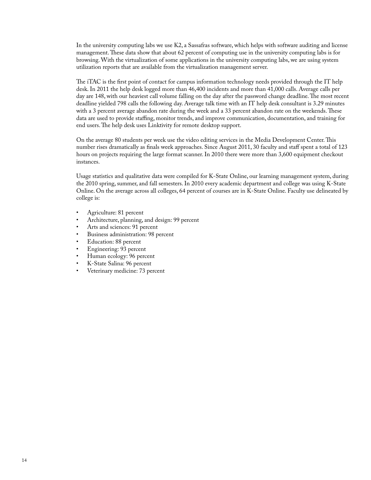In the university computing labs we use K2, a Sassafras software, which helps with software auditing and license management. These data show that about 62 percent of computing use in the university computing labs is for browsing. With the virtualization of some applications in the university computing labs, we are using system utilization reports that are available from the virtualization management server.

The iTAC is the first point of contact for campus information technology needs provided through the IT help desk. In 2011 the help desk logged more than 46,400 incidents and more than 41,000 calls. Average calls per day are 148, with our heaviest call volume falling on the day after the password change deadline. The most recent deadline yielded 798 calls the following day. Average talk time with an IT help desk consultant is 3.29 minutes with a 3 percent average abandon rate during the week and a 33 percent abandon rate on the weekends. These data are used to provide staffing, monitor trends, and improve communication, documentation, and training for end users. The help desk uses Linktivity for remote desktop support.

On the average 80 students per week use the video editing services in the Media Development Center. This number rises dramatically as finals week approaches. Since August 2011, 30 faculty and staff spent a total of 123 hours on projects requiring the large format scanner. In 2010 there were more than 3,600 equipment checkout instances.

Usage statistics and qualitative data were compiled for K-State Online, our learning management system, during the 2010 spring, summer, and fall semesters. In 2010 every academic department and college was using K-State Online. On the average across all colleges, 64 percent of courses are in K-State Online. Faculty use delineated by college is:

- Agriculture: 81 percent
- Architecture, planning, and design: 99 percent
- Arts and sciences: 91 percent
- Business administration: 98 percent
- Education: 88 percent
- Engineering: 93 percent
- Human ecology: 96 percent
- K-State Salina: 96 percent
- Veterinary medicine: 73 percent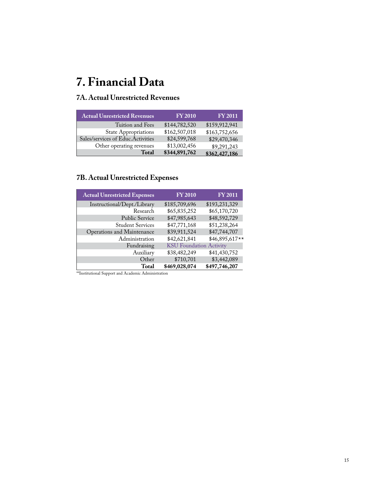# <span id="page-14-0"></span>**7. Financial Data**

### **7A. Actual Unrestricted Revenues**

| <b>Actual Unrestricted Revenues</b> | <b>FY 2010</b> | <b>FY 2011</b> |
|-------------------------------------|----------------|----------------|
| Tuition and Fees                    | \$144,782,520  | \$159,912,941  |
| <b>State Appropriations</b>         | \$162,507,018  | \$163,752,656  |
| Sales/services of Educ.Activities   | \$24,599,768   | \$29,470,346   |
| Other operating revenues            | \$13,002,456   | \$9,291,243    |
| <b>Total</b>                        | \$344,891,762  | \$362,427,186  |

### **7B. Actual Unrestricted Expenses**

| <b>Actual Unrestricted Expenses</b> | <b>FY 2010</b>                 | <b>FY2011</b>  |
|-------------------------------------|--------------------------------|----------------|
| Instructional/Dept./Library         | \$185,709,696                  | \$193,231,329  |
| Research                            | \$65,835,252                   | \$65,170,720   |
| <b>Public Service</b>               | \$47,985,643                   | \$48,592,729   |
| <b>Student Services</b>             | \$47,771,168                   | \$51,238,264   |
| Operations and Maintenance          | \$39,911,524                   | \$47,744,707   |
| Administration                      | \$42,621,841                   | \$46,895,617** |
| Fundraising                         | <b>KSU</b> Foundation Activity |                |
| Auxiliary                           | \$38,482,249                   | \$41,430,752   |
| Other                               | \$710,701                      | \$3,442,089    |
| Total                               | \$469,028,074                  | \$497,746,207  |

\*\*Institutional Support and Academic Administration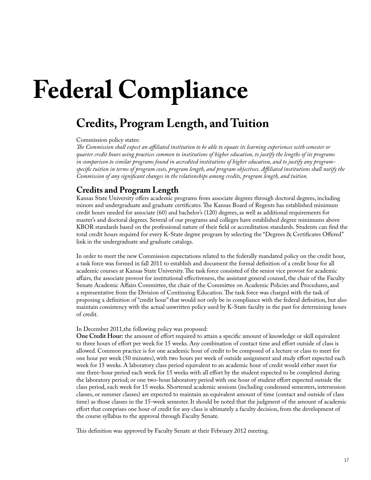# <span id="page-16-0"></span>**Federal Compliance**

# **Credits, Program Length, and Tuition**

Commission policy states:

*The Commission shall expect an affiliated institution to be able to equate its learning experiences with semester or quarter credit hours using practices common to institutions of higher education, to justify the lengths of its programs in comparison to similar programs found in accredited institutions of higher education, and to justify any programspecific tuition in terms of program costs, program length, and program objectives. Affiliated institutions shall notify the Commission of any significant changes in the relationships among credits, program length, and tuition.*

### **Credits and Program Length**

Kansas State University offers academic programs from associate degrees through doctoral degrees, including minors and undergraduate and graduate certificates. The Kansas Board of Regents has established minimum credit hours needed for associate (60) and bachelor's (120) degrees, as well as additional requirements for master's and doctoral degrees. Several of our programs and colleges have established degree minimums above KBOR standards based on the professional nature of their field or accreditation standards. Students can find the total credit hours required for every K-State degree program by selecting the "Degrees & Certificates Offered" link in the undergraduate and graduate catalogs.

In order to meet the new Commission expectations related to the federally mandated policy on the credit hour, a task force was formed in fall 2011 to establish and document the formal definition of a credit hour for all academic courses at Kansas State University. The task force consisted of the senior vice provost for academic affairs, the associate provost for institutional effectiveness, the assistant general counsel, the chair of the Faculty Senate Academic Affairs Committee, the chair of the Committee on Academic Policies and Procedures, and a representative from the Division of Continuing Education. The task force was charged with the task of proposing a definition of "credit hour" that would not only be in compliance with the federal definition, but also maintain consistency with the actual unwritten policy used by K-State faculty in the past for determining hours of credit.

#### In December 2011,the following policy was proposed:

**One Credit Hour:** the amount of effort required to attain a specific amount of knowledge or skill equivalent to three hours of effort per week for 15 weeks. Any combination of contact time and effort outside of class is allowed. Common practice is for one academic hour of credit to be composed of a lecture or class to meet for one hour per week (50 minutes), with two hours per week of outside assignment and study effort expected each week for 15 weeks. A laboratory class period equivalent to an academic hour of credit would either meet for one three-hour period each week for 15 weeks with all effort by the student expected to be completed during the laboratory period; or one two-hour laboratory period with one hour of student effort expected outside the class period, each week for 15 weeks. Shortened academic sessions (including condensed semesters, intersession classes, or summer classes) are expected to maintain an equivalent amount of time (contact and outside of class time) as those classes in the 15-week semester. It should be noted that the judgment of the amount of academic effort that comprises one hour of credit for any class is ultimately a faculty decision, from the development of the course syllabus to the approval through Faculty Senate.

This definition was approved by Faculty Senate at their February 2012 meeting.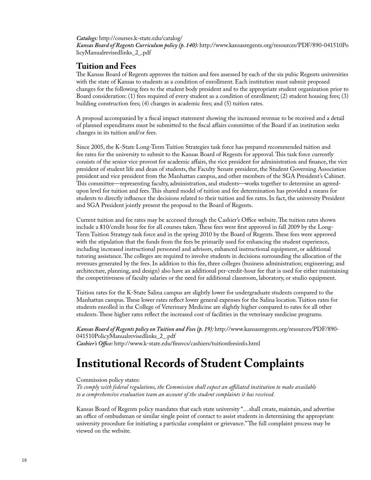#### <span id="page-17-0"></span>*Catalogs:* http://courses.k-state.edu/catalog/

*Kansas Board of Regents Curriculum policy (p. 140):* [http://www.kansasregents.org/resources/PDF/890-041510Po](http://www.kansasregents.org/resources/PDF/890-041510PolicyManualrevisedlinks_2_.pdf) licyManualrevisedlinks\_2\_.pdf

### **Tuition and Fees**

The Kansas Board of Regents approves the tuition and fees assessed by each of the six pubic Regents universities with the state of Kansas to students as a condition of enrollment. Each institution must submit proposed changes for the following fees to the student body president and to the appropriate student organization prior to Board consideration: (1) fees required of every student as a condition of enrollment; (2) student housing fees; (3) building construction fees; (4) changes in academic fees; and (5) tuition rates.

A proposal accompanied by a fiscal impact statement showing the increased revenue to be received and a detail of planned expenditures must be submitted to the fiscal affairs committee of the Board if an institution seeks changes in its tuition and/or fees.

Since 2005, the K-State Long-Term Tuition Strategies task force has prepared recommended tuition and fee rates for the university to submit to the Kansas Board of Regents for approval. This task force currently consists of the senior vice provost for academic affairs, the vice president for administration and finance, the vice president of student life and dean of students, the Faculty Senate president, the Student Governing Association president and vice president from the Manhattan campus, and other members of the SGA President's Cabinet. This committee—representing faculty, administration, and students—works together to determine an agreedupon level for tuition and fees. This shared model of tuition and fee determination has provided a means for students to directly influence the decisions related to their tuition and fee rates. In fact, the university President and SGA President jointly present the proposal to the Board of Regents.

Current tuition and fee rates may be accessed through the Cashier's Office website. The tuition rates shown include a \$10/credit hour fee for all courses taken. These fees were first approved in fall 2009 by the Long-Term Tuition Strategy task force and in the spring 2010 by the Board of Regents. These fees were approved with the stipulation that the funds from the fees be primarily used for enhancing the student experience, including increased instructional personnel and advisors, enhanced instructional equipment, or additional tutoring assistance. The colleges are required to involve students in decisions surrounding the allocation of the revenues generated by the fees. In addition to this fee, three colleges (business administration; engineering; and architecture, planning, and design) also have an additional per-credit-hour fee that is used for either maintaining the competitiveness of faculty salaries or the need for additional classroom, laboratory, or studio equipment.

Tuition rates for the K-State Salina campus are slightly lower for undergraduate students compared to the Manhattan campus. These lower rates reflect lower general expenses for the Salina location. Tuition rates for students enrolled in the College of Veterinary Medicine are slightly higher compared to rates for all other students. These higher rates reflect the increased cost of facilities in the veterinary medicine programs.

*Kansas Board of Regents policy on Tuition and Fees (p. 19):* http://www.kansasregents.org/resources/PDF/890- 041510PolicyManualrevisedlinks\_2\_.pdf *Cashier's Office:* http://www.k-state.edu/finsvcs/cashiers/tuitionfeesinfo.html

# **Institutional Records of Student Complaints**

#### Commission policy states:

*To comply with federal regulations, the Commission shall expect an affiliated institution to make available to a comprehensive evaluation team an account of the student complaints it has received.*

Kansas Board of Regents policy mandates that each state university "…shall create, maintain, and advertise an office of ombudsman or similar single point of contact to assist students in determining the appropriate university procedure for initiating a particular complaint or grievance." The full complaint process may be viewed on the website.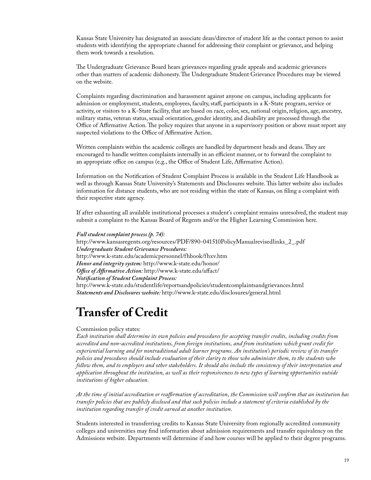<span id="page-18-0"></span>Kansas State University has designated an associate dean/director of student life as the contact person to assist students with identifying the appropriate channel for addressing their complaint or grievance, and helping them work towards a resolution.

The Undergraduate Grievance Board hears grievances regarding grade appeals and academic grievances other than matters of academic dishonesty. The Undergraduate Student Grievance Procedures may be viewed on the website.

Complaints regarding discrimination and harassment against anyone on campus, including applicants for admission or employment, students, employees, faculty, staff, participants in a K-State program, service or activity, or visitors to a K-State facility, that are based on race, color, sex, national origin, religion, age, ancestry, military status, veteran status, sexual orientation, gender identity, and disability are processed through the Office of Affirmative Action. The policy requires that anyone in a supervisory position or above must report any suspected violations to the Office of Affirmative Action.

Written complaints within the academic colleges are handled by department heads and deans. They are encouraged to handle written complaints internally in an efficient manner, or to forward the complaint to an appropriate office on campus (e.g., the Office of Student Life, Affirmative Action).

Information on the Notification of Student Complaint Process is available in the Student Life Handbook as well as through Kansas State University's Statements and Disclosures website. This latter website also includes information for distance students, who are not residing within the state of Kansas, on filing a complaint with their respective state agency.

If after exhausting all available institutional processes a student's complaint remains unresolved, the student may submit a complaint to the Kansas Board of Regents and/or the Higher Learning Commission here.

*Full student complaint process (p. 74):* http://www.kansasregents.org/resources/PDF/890-041510PolicyManualrevisedlinks\_2\_.pdf *Undergraduate Student Grievance Procedures:*  http://www.k-state.edu/academicpersonnel/fhbook/fhxv.htm *Honor and integrity system:* http://www.k-state.edu/honor/ *Office of Affirmative Action:* http://www.k-state.edu/affact/ *Notification of Student Complaint Process:*  http://www.k-state.edu/studentlife/reportsandpolicies/studentcomplaintsandgrievances.html *Statements and Disclosures website:* http://www.k-state.edu/disclosures/general.html

# **Transfer of Credit**

#### Commission policy states:

*Each institution shall determine its own policies and procedures for accepting transfer credits, including credits from accredited and non-accredited institutions, from foreign institutions, and from institutions which grant credit for experiential learning and for nontraditional adult learner programs. An institution's periodic review of its transfer policies and procedures should include evaluation of their clarity to those who administer them, to the students who follow them, and to employers and other stakeholders. It should also include the consistency of their interpretation and application throughout the institution, as well as their responsiveness to new types of learning opportunities outside institutions of higher education.*

*At the time of initial accreditation or reaffirmation of accreditation, the Commission will confirm that an institution has transfer policies that are publicly disclosed and that such policies include a statement of criteria established by the institution regarding transfer of credit earned at another institution.*

Students interested in transferring credits to Kansas State University from regionally accredited community colleges and universities may find information about admission requirements and transfer equivalency on the Admissions website. Departments will determine if and how courses will be applied to their degree programs.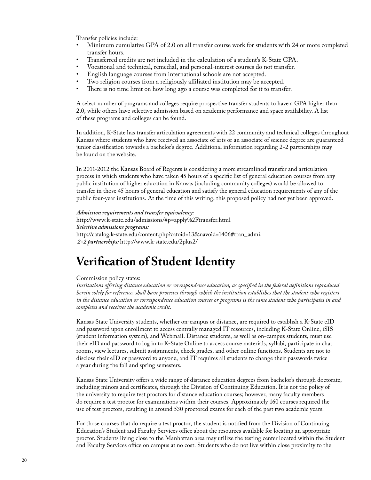<span id="page-19-0"></span>Transfer policies include:

- Minimum cumulative GPA of 2.0 on all transfer course work for students with 24 or more completed transfer hours.
- Transferred credits are not included in the calculation of a student's K-State GPA.
- Vocational and technical, remedial, and personal-interest courses do not transfer.
- English language courses from international schools are not accepted.
- Two religion courses from a religiously affiliated institution may be accepted.
- There is no time limit on how long ago a course was completed for it to transfer.

A select number of programs and colleges require prospective transfer students to have a GPA higher than 2.0, while others have selective admission based on academic performance and space availability. A list of these programs and colleges can be found.

In addition, K-State has transfer articulation agreements with 22 community and technical colleges throughout Kansas where students who have received an associate of arts or an associate of science degree are guaranteed junior classification towards a bachelor's degree. Additional information regarding 2+2 partnerships may be found on the website.

In 2011-2012 the Kansas Board of Regents is considering a more streamlined transfer and articulation process in which students who have taken 45 hours of a specific list of general education courses from any public institution of higher education in Kansas (including community colleges) would be allowed to transfer in those 45 hours of general education and satisfy the general education requirements of any of the public four-year institutions. At the time of this writing, this proposed policy had not yet been approved.

*Admission requirements and transfer equivalency:* 

http://www.k-state.edu/admissions/#p=apply%2Ftransfer.html *Selective admissions programs:*  http://catalog.k-state.edu/content.php?catoid=13&navoid=1406#tran\_admi.  *2+2 partnerships:* http://www.k-state.edu/2plus2/

# **Verification of Student Identity**

#### Commission policy states:

*Institutions offering distance education or correspondence education, as specified in the federal definitions reproduced herein solely for reference, shall have processes through which the institution establishes that the student who registers in the distance education or correspondence education courses or programs is the same student who participates in and completes and receives the academic credit.*

Kansas State University students, whether on-campus or distance, are required to establish a K-State eID and password upon enrollment to access centrally managed IT resources, including K-State Online, iSIS (student information system), and Webmail. Distance students, as well as on-campus students, must use their eID and password to log in to K-State Online to access course materials, syllabi, participate in chat rooms, view lectures, submit assignments, check grades, and other online functions. Students are not to disclose their eID or password to anyone, and IT requires all students to change their passwords twice a year during the fall and spring semesters.

Kansas State University offers a wide range of distance education degrees from bachelor's through doctorate, including minors and certificates, through the Division of Continuing Education. It is not the policy of the university to require test proctors for distance education courses; however, many faculty members do require a test proctor for examinations within their courses. Approximately 160 courses required the use of test proctors, resulting in around 530 proctored exams for each of the past two academic years.

For those courses that do require a test proctor, the student is notified from the Division of Continuing Education's Student and Faculty Services office about the resources available for locating an appropriate proctor. Students living close to the Manhattan area may utilize the testing center located within the Student and Faculty Services office on campus at no cost. Students who do not live within close proximity to the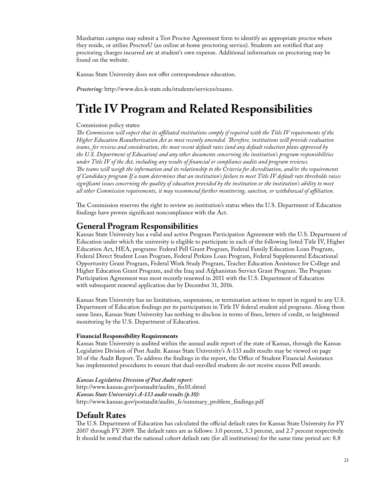<span id="page-20-0"></span>Manhattan campus may submit a Test Proctor Agreement form to identify an appropriate proctor where they reside, or utilize ProctorU (an online at-home proctoring service). Students are notified that any proctoring charges incurred are at student's own expense. Additional information on proctoring may be found on the website.

Kansas State University does not offer correspondence education.

*Proctoring:* http://www.dce.k-state.edu/students/services/exams.

# **Title IV Program and Related Responsibilities**

#### Commission policy states:

*The Commission will expect that its affiliated institutions comply if required with the Title IV requirements of the Higher Education Reauthorization Act as most recently amended. Therefore, institutions will provide evaluation teams, for review and consideration, the most recent default rates (and any default reduction plans approved by the U.S. Department of Education) and any other documents concerning the institution's program responsibilities under Title IV of the Act, including any results of financial or compliance audits and program reviews. The teams will weigh the information and its relationship to the Criteria for Accreditation, and/or the requirements of Candidacy program If a team determines that an institution's failure to meet Title IV default rate thresholds raises significant issues concerning the quality of education provided by the institution or the institution's ability to meet all other Commission requirements, it may recommend further monitoring, sanction, or withdrawal of affiliation.*

The Commission reserves the right to review an institution's status when the U.S. Department of Education findings have proven significant noncompliance with the Act.

### **General Program Responsibilities**

Kansas State University has a valid and active Program Participation Agreement with the U.S. Department of Education under which the university is eligible to participate in each of the following listed Title IV, Higher Education Act, HEA, programs: Federal Pell Grant Program, Federal Family Education Loan Program, Federal Direct Student Loan Program, Federal Perkins Loan Program, Federal Supplemental Educational Opportunity Grant Program, Federal Work Study Program, Teacher Education Assistance for College and Higher Education Grant Program, and the Iraq and Afghanistan Service Grant Program. The Program Participation Agreement was most recently renewed in 2011 with the U.S. Department of Education with subsequent renewal application due by December 31, 2016.

Kansas State University has no limitations, suspensions, or termination actions to report in regard to any U.S. Department of Education findings per its participation in Title IV federal student aid programs. Along those same lines, Kansas State University has nothing to disclose in terms of fines, letters of credit, or heightened monitoring by the U.S. Department of Education.

#### **Financial Responsibility Requirements**

Kansas State University is audited within the annual audit report of the state of Kansas, through the Kansas Legislative Division of Post Audit. Kansas State University's A-133 audit results may be viewed on page 10 of the Audit Report. To address the findings in the report, the Office of Student Financial Assistance has implemented procedures to ensure that dual-enrolled students do not receive excess Pell awards.

#### *Kansas Legislative Division of Post Audit report:*

[http://www.kansas.gov/postaudit/audits\\_fin10.shtml](http://www.kslpa.org/index.php) *Kansas State University's A-133 audit results (p.10):*  http://www.kansas.gov/postaudit/audits\_fc/summary\_problem\_findings.pdf

### **Default Rates**

The U.S. Department of Education has calculated the official default rates for Kansas State University for FY 2007 through FY 2009. The default rates are as follows: 3.0 percent, 3.3 percent, and 2.7 percent respectively. It should be noted that the national cohort default rate (for all institutions) for the same time period are: 8.8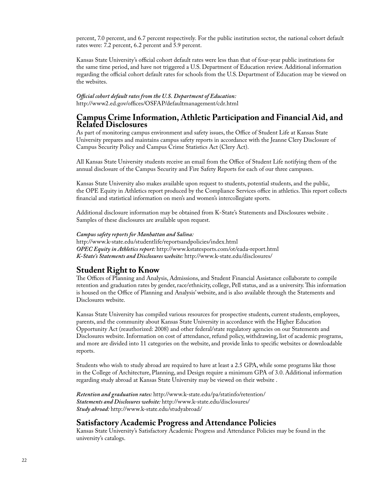percent, 7.0 percent, and 6.7 percent respectively. For the public institution sector, the national cohort default rates were: 7.2 percent, 6.2 percent and 5.9 percent.

Kansas State University's official cohort default rates were less than that of four-year public institutions for the same time period, and have not triggered a U.S. Department of Education review. Additional information regarding the official cohort default rates for schools from the U.S. Department of Education may be viewed on the websites.

*Official cohort default rates from the U.S. Department of Education:*  http://www2.ed.gov/offices/OSFAP/defaultmanagement/cdr.html

#### **Campus Crime Information, Athletic Participation and Financial Aid, and Related Disclosures**

As part of monitoring campus environment and safety issues, the Office of Student Life at Kansas State University prepares and maintains campus safety reports in accordance with the Jeanne Clery Disclosure of Campus Security Policy and Campus Crime Statistics Act (Clery Act).

All Kansas State University students receive an email from the Office of Student Life notifying them of the annual disclosure of the Campus Security and Fire Safety Reports for each of our three campuses.

Kansas State University also makes available upon request to students, potential students, and the public, the OPE Equity in Athletics report produced by the Compliance Services office in athletics. This report collects financial and statistical information on men's and women's intercollegiate sports.

Additional disclosure information may be obtained from K-State's Statements and Disclosures website . Samples of these disclosures are available upon request.

#### *Campus safety reports for Manhattan and Salina:*

http://www.k-state.edu/studentlife/reportsandpolicies/index.html *OPEC Equity in Athletics report:* http://www.kstatesports.com/ot/eada-report.html *K-State's Statements and Disclosures website:* http://www.k-state.edu/disclosures/

### **Student Right to Know**

The Offices of Planning and Analysis, Admissions, and Student Financial Assistance collaborate to compile retention and graduation rates by gender, race/ethnicity, college, Pell status, and as a university. This information is housed on the Office of Planning and Analysis' website, and is also available through the Statements and Disclosures website.

Kansas State University has compiled various resources for prospective students, current students, employees, parents, and the community about Kansas State University in accordance with the Higher Education Opportunity Act (reauthorized: 2008) and other federal/state regulatory agencies on our Statements and Disclosures website. Information on cost of attendance, refund policy, withdrawing, list of academic programs, and more are divided into 11 categories on the website, and provide links to specific websites or downloadable reports.

Students who wish to study abroad are required to have at least a 2.5 GPA, while some programs like those in the College of Architecture, Planning, and Design require a minimum GPA of 3.0. Additional information regarding study abroad at Kansas State University may be viewed on their website .

*Retention and graduation rates:* http://www.k-state.edu/pa/statinfo/retention/ *Statements and Disclosures website:* http://www.k-state.edu/disclosures/ *Study abroad:* http://www.k-state.edu/studyabroad/

### **Satisfactory Academic Progress and Attendance Policies**

Kansas State University's Satisfactory Academic Progress and Attendance Policies may be found in the university's catalogs.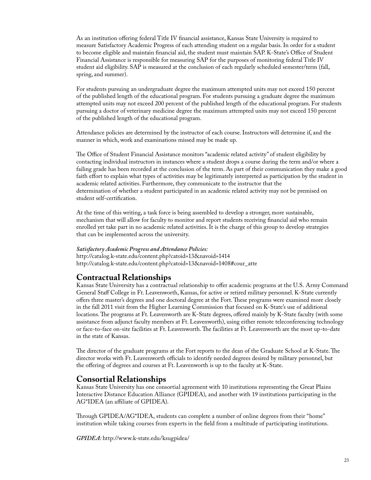As an institution offering federal Title IV financial assistance, Kansas State University is required to measure Satisfactory Academic Progress of each attending student on a regular basis. In order for a student to become eligible and maintain financial aid, the student must maintain SAP. K-State's Office of Student Financial Assistance is responsible for measuring SAP for the purposes of monitoring federal Title IV student aid eligibility. SAP is measured at the conclusion of each regularly scheduled semester/term (fall, spring, and summer).

For students pursuing an undergraduate degree the maximum attempted units may not exceed 150 percent of the published length of the educational program. For students pursuing a graduate degree the maximum attempted units may not exceed 200 percent of the published length of the educational program. For students pursuing a doctor of veterinary medicine degree the maximum attempted units may not exceed 150 percent of the published length of the educational program.

Attendance policies are determined by the instructor of each course. Instructors will determine if, and the manner in which, work and examinations missed may be made up.

The Office of Student Financial Assistance monitors "academic related activity" of student eligibility by contacting individual instructors in instances where a student drops a course during the term and/or where a failing grade has been recorded at the conclusion of the term. As part of their communication they make a good faith effort to explain what types of activities may be legitimately interpreted as participation by the student in academic related activities. Furthermore, they communicate to the instructor that the determination of whether a student participated in an academic related activity may not be premised on student self-certification.

At the time of this writing, a task force is being assembled to develop a stronger, more sustainable, mechanism that will allow for faculty to monitor and report students receiving financial aid who remain enrolled yet take part in no academic related activities. It is the charge of this group to develop strategies that can be implemented across the university.

#### *Satisfactory Academic Progress and Attendance Policies:*

http://catalog.k-state.edu/content.php?catoid=13&navoid=1414 http://catalog.k-state.edu/content.php?catoid=13&navoid=1408#cour\_atte

### **Contractual Relationships**

Kansas State University has a contractual relationship to offer academic programs at the U.S. Army Command General Staff College in Ft. Leavenworth, Kansas, for active or retired military personnel. K-State currently offers three master's degrees and one doctoral degree at the Fort.These programs were examined more closely in the fall 2011 visit from the Higher Learning Commission that focused on K-State's use of additional locations.The programs at Ft. Leavenworth are K-State degrees, offered mainly by K-State faculty (with some assistance from adjunct faculty members at Ft. Leavenworth), using either remote teleconferencing technology or face-to-face on-site facilities at Ft. Leavenworth. The facilities at Ft. Leavenworth are the most up-to-date in the state of Kansas.

The director of the graduate programs at the Fort reports to the dean of the Graduate School at K-State. The director works with Ft. Leavenworth officials to identify needed degrees desired by military personnel, but the offering of degrees and courses at Ft. Leavenworth is up to the faculty at K-State.

### **Consortial Relationships**

Kansas State University has one consortial agreement with 10 institutions representing the Great Plains Interactive Distance Education Alliance (GPIDEA), and another with 19 institutions participating in the AG\*IDEA (an affiliate of GPIDEA).

Through GPIDEA/AG\*IDEA, students can complete a number of online degrees from their "home" institution while taking courses from experts in the field from a multitude of participating institutions.

*GPIDEA:* http://www.k-state.edu/ksugpidea/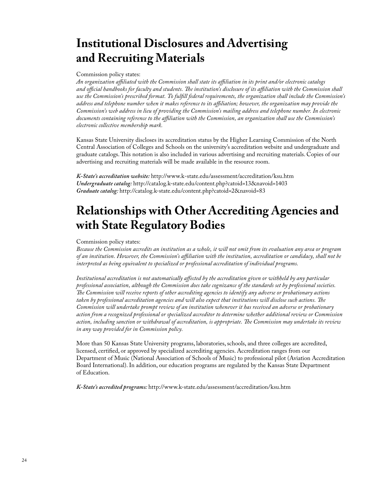# <span id="page-23-0"></span>**Institutional Disclosures and Advertising and Recruiting Materials**

Commission policy states:

*An organization affiliated with the Commission shall state its affiliation in its print and/or electronic catalogs and official handbooks for faculty and students. The institution's disclosure of its affiliation with the Commission shall use the Commission's prescribed format. To fulfill federal requirements, the organization shall include the Commission's address and telephone number when it makes reference to its affiliation; however, the organization may provide the Commission's web address in lieu of providing the Commission's mailing address and telephone number. In electronic documents containing reference to the affiliation with the Commission, an organization shall use the Commission's electronic collective membership mark.*

Kansas State University discloses its accreditation status by the Higher Learning Commission of the North Central Association of Colleges and Schools on the university's accreditation website and undergraduate and graduate catalogs. This notation is also included in various advertising and recruiting materials. Copies of our advertising and recruiting materials will be made available in the resource room.

*K-State's accreditation website:* http://www.k-[state.edu/assessment/accreditation/ksu.htm](http://www.k-state.edu/assessment/accreditation/ksu.htm) *Undergraduate catalog:* http://catalog.k-state.edu/content.php?catoid=13&navoid=1403 *Graduate catalog:* http://catalog.k-state.edu/content.php?catoid=2&navoid=83

# **Relationships with Other Accrediting Agencies and with State Regulatory Bodies**

Commission policy states:

*Because the Commission accredits an institution as a whole, it will not omit from its evaluation any area or program of an institution. However, the Commission's affiliation with the institution, accreditation or candidacy, shall not be interpreted as being equivalent to specialized or professional accreditation of individual programs.*

*Institutional accreditation is not automatically affected by the accreditation given or withheld by any particular professional association, although the Commission does take cognizance of the standards set by professional societies. The Commission will receive reports of other accrediting agencies to identify any adverse or probationary actions taken by professional accreditation agencies and will also expect that institutions will disclose such actions. The Commission will undertake prompt review of an institution whenever it has received an adverse or probationary action from a recognized professional or specialized accreditor to determine whether additional review or Commission action, including sanction or withdrawal of accreditation, is appropriate. The Commission may undertake its review in any way provided for in Commission policy.*

More than 50 Kansas State University programs, laboratories, schools, and three colleges are accredited, licensed, certified, or approved by specialized accrediting agencies. Accreditation ranges from our Department of Music (National Association of Schools of Music) to professional pilot (Aviation Accreditation Board International). In addition, our education programs are regulated by the Kansas State Department of Education.

*K-State's accredited programs:* http://www.k-state.edu/assessment/accreditation/ksu.htm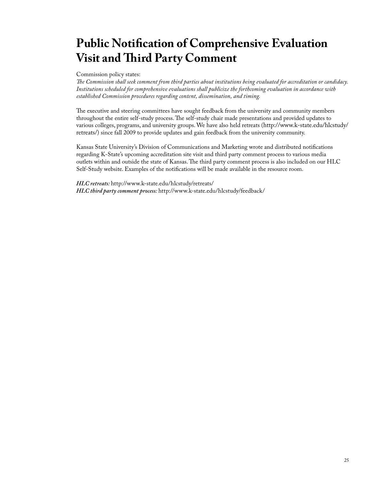# **Public Notification of Comprehensive Evaluation Visit and Third Party Comment**

Commission policy states:

*The Commission shall seek comment from third parties about institutions being evaluated for accreditation or candidacy. Institutions scheduled for comprehensive evaluations shall publicize the forthcoming evaluation in accordance with established Commission procedures regarding content, dissemination, and timing.*

The executive and steering committees have sought feedback from the university and community members throughout the entire self-study process. The self-study chair made presentations and provided updates to various colleges, programs, and university groups. We have also held retreats (http://www.k-state.edu/hlcstudy/ retreats/) since fall 2009 to provide updates and gain feedback from the university community.

Kansas State University's Division of Communications and Marketing wrote and distributed notifications regarding K-State's upcoming accreditation site visit and third party comment process to various media outlets within and outside the state of Kansas. The third party comment process is also included on our HLC Self-Study website. Examples of the notifications will be made available in the resource room.

*HLC retreats:* http://www.k-state.edu/hlcstudy/retreats/ *HLC third party comment process:* http://www.k-state.edu/hlcstudy/feedback/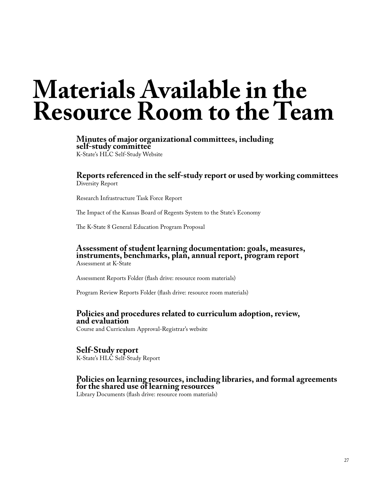# <span id="page-26-0"></span>**Materials Available in the Resource Room to the Team**

**Minutes of major organizational committees, including self-study committee** [K-State's HLC Self-Study Website](http://www.k-state.edu/hlcstudy/)

**Reports referenced in the self-study report or used by working committees** Diversity Report

[Research Infrastructure Task Force Report](http://www.k-state.edu/president/initiatives/ritf/)

[The Impact of the Kansas Board of Regents System to the State's Economy](http://www.kansasregents.org/regents_release_statewide_economic_impact_study)

[The K-State 8 General Education Program Proposal](http://www.k-state.edu/kstate8/proposal.html)

#### **Assessment of student learning documentation: goals, measures, instruments, benchmarks, plan, annual report, program report** [Assessment at K-State](http://www.k-state.edu/assessment/degprogunit/)

Assessment Reports Folder (flash drive: resource room materials)

Program Review Reports Folder (flash drive: resource room materials)

#### **Policies and procedures related to curriculum adoption, review, and evaluation**

Course and Curriculum Approval-Registrar's website

**Self-Study report** K-State's HLC Self-Study Report

### **Policies on learning resources, including libraries, and formal agreements for the shared use of learning resources**

Library Documents (flash drive: resource room materials)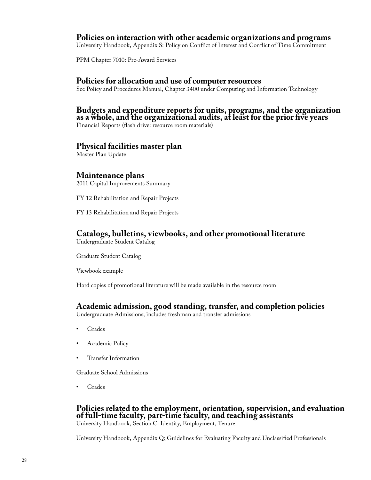### **Policies on interaction with other academic organizations and programs**

University Handbook, Appendix S: Policy on Conflict of Interest and Conflict of Time Commitment

PPM Chapter 7010: Pre-Award Services

### **Policies for allocation and use of computer resources**

See Policy and Procedures Manual, Chapter 3400 under Computing and Information Technology

#### **Budgets and expenditure reports for units, programs, and the organization as a whole, and the organizational audits, at least for the prior five years**

Financial Reports (flash drive: resource room materials)

#### **Physical facilities master plan**

Master Plan Update

### **Maintenance plans**

2011 Capital Improvements Summary

FY 12 Rehabilitation and Repair Projects

FY 13 Rehabilitation and Repair Projects

### **Catalogs, bulletins, viewbooks, and other promotional literature**

Undergraduate Student Catalog

Graduate Student Catalog

Viewbook example

Hard copies of promotional literature will be made available in the resource room

### **Academic admission, good standing, transfer, and completion policies**

Undergraduate Admissions; includes freshman and transfer admissions

- **Grades**
- Academic Policy
- Transfer Information

Graduate School Admissions

**Grades** 

### **Policies related to the employment, orientation, supervision, and evaluation of full-time faculty, part-time faculty, and teaching assistants**

University Handbook, Section C: Identity, Employment, Tenure

University Handbook, Appendix Q: Guidelines for Evaluating Faculty and Unclassified Professionals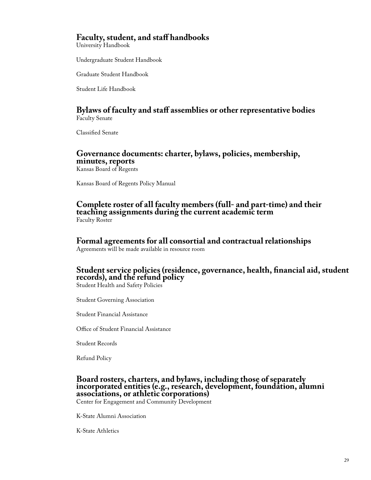### **Faculty, student, and staff handbooks**

University Handbook

Undergraduate Student Handbook

Graduate Student Handbook

Student Life Handbook

### **Bylaws of faculty and staff assemblies or other representative bodies** Faculty Senate

Classified Senate

### **Governance documents: charter, bylaws, policies, membership, minutes, reports**

Kansas Board of Regents

Kansas Board of Regents Policy Manual

**Complete roster of all faculty members (full- and part-time) and their teaching assignments during the current academic term** Faculty Roster

# **Formal agreements for all consortial and contractual relationships**

Agreements will be made available in resource room

### **Student service policies (residence, governance, health, financial aid, student records), and the refund policy**

Student Health and Safety Policies

Student Governing Association

Student Financial Assistance

Office of Student Financial Assistance

Student Records

Refund Policy

### **Board rosters, charters, and bylaws, including those of separately incorporated entities (e.g., research, development, foundation, alumni associations, or athletic corporations)**

Center for Engagement and Community Development

K-State Alumni Association

K-State Athletics